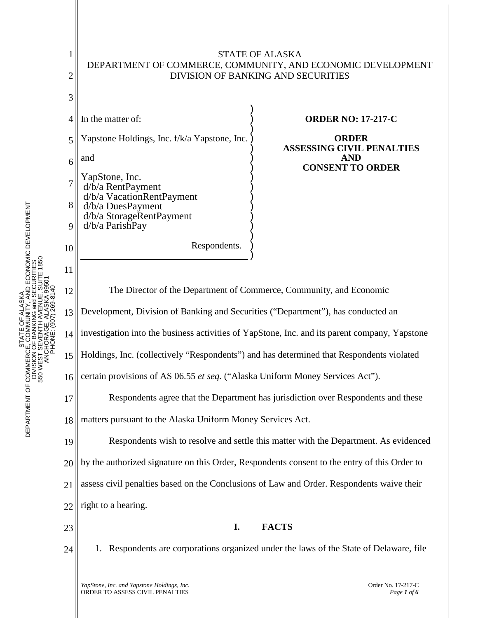

STATE OF ALASKA DEPARTMENT OF COMMERCE, COMMUNITY, AND ECONOMIC DEVELOPMENT DIVISION OF BANKING and SECURITIES 550 WEST SEVENTH AVENUE, SUITE 1850

DEPARTMENT OF COMMERCE<br>DIVISION<br>S50 WEST S

ŏ

ALASKA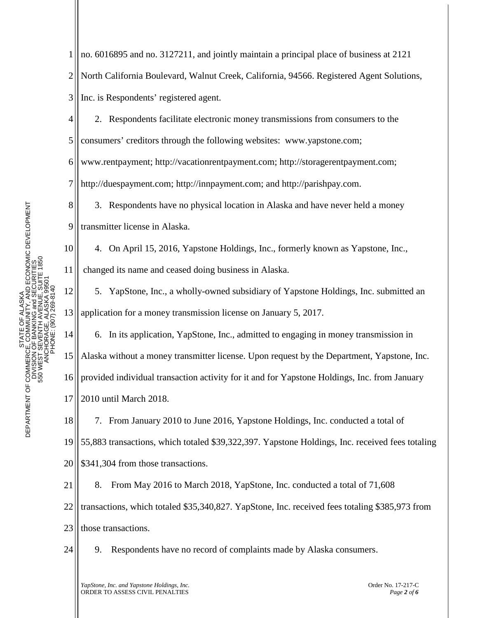11

1 2 3 no. 6016895 and no. 3127211, and jointly maintain a principal place of business at 2121 North California Boulevard, Walnut Creek, California, 94566. Registered Agent Solutions, Inc. is Respondents' registered agent.

4 5 6 7 2. Respondents facilitate electronic money transmissions from consumers to the consumers' creditors through the following websites: www.yapstone.com; www.rentpayment; http://vacationrentpayment.com; http://storagerentpayment.com; http://duespayment.com; http://innpayment.com; and http://parishpay.com.

8 9 3. Respondents have no physical location in Alaska and have never held a money transmitter license in Alaska.

10 4. On April 15, 2016, Yapstone Holdings, Inc., formerly known as Yapstone, Inc., changed its name and ceased doing business in Alaska.

12 13 5. YapStone, Inc., a wholly-owned subsidiary of Yapstone Holdings, Inc. submitted an application for a money transmission license on January 5, 2017.

14 15 16 17 6. In its application, YapStone, Inc., admitted to engaging in money transmission in Alaska without a money transmitter license. Upon request by the Department, Yapstone, Inc. provided individual transaction activity for it and for Yapstone Holdings, Inc. from January 2010 until March 2018.

18 19 20 7. From January 2010 to June 2016, Yapstone Holdings, Inc. conducted a total of 55,883 transactions, which totaled \$39,322,397. Yapstone Holdings, Inc. received fees totaling \$341,304 from those transactions.

21 22 23 8. From May 2016 to March 2018, YapStone, Inc. conducted a total of 71,608 transactions, which totaled \$35,340,827. YapStone, Inc. received fees totaling \$385,973 from those transactions.

24

9. Respondents have no record of complaints made by Alaska consumers.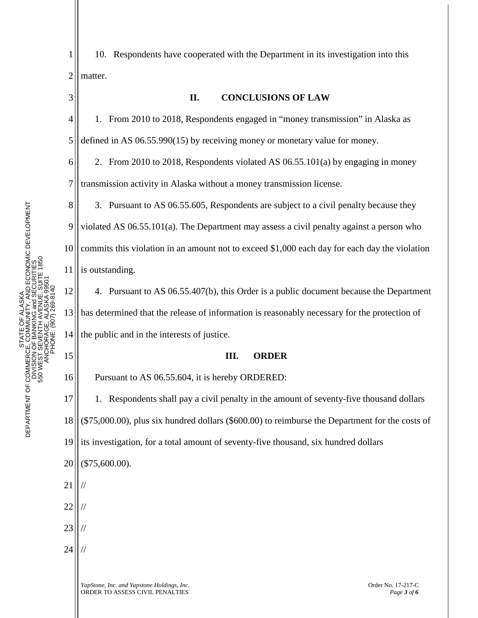3

1 2 10. Respondents have cooperated with the Department in its investigation into this matter.

4 5 1. From 2010 to 2018, Respondents engaged in "money transmission" in Alaska as defined in AS 06.55.990(15) by receiving money or monetary value for money.

**II. CONCLUSIONS OF LAW**

6 7 2. From 2010 to 2018, Respondents violated AS 06.55.101(a) by engaging in money transmission activity in Alaska without a money transmission license.

8 9 10 11 3. Pursuant to AS 06.55.605, Respondents are subject to a civil penalty because they violated AS 06.55.101(a). The Department may assess a civil penalty against a person who commits this violation in an amount not to exceed \$1,000 each day for each day the violation is outstanding.

12 13 14 4. Pursuant to AS 06.55.407(b), this Order is a public document because the Department has determined that the release of information is reasonably necessary for the protection of the public and in the interests of justice.

## **III. ORDER**

Pursuant to AS 06.55.604, it is hereby ORDERED:

17 18 1. Respondents shall pay a civil penalty in the amount of seventy-five thousand dollars (\$75,000.00), plus six hundred dollars (\$600.00) to reimburse the Department for the costs of

19 its investigation, for a total amount of seventy-five thousand, six hundred dollars

- 20 (\$75,600.00).
- 21 //

15

16

- 22 //
- 23 //
- 24 //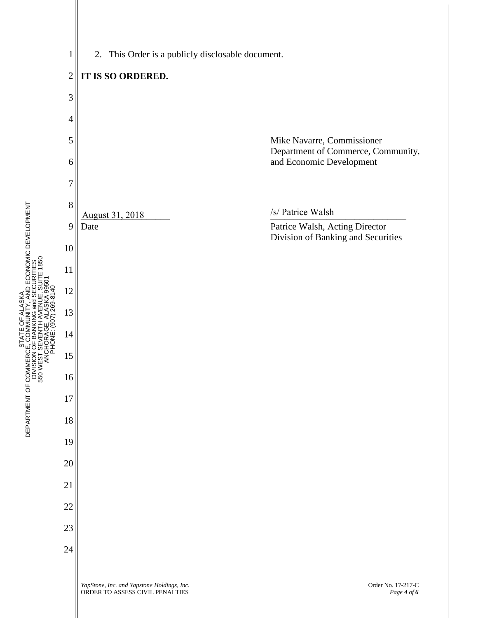



STATE OF ALASKA DEPARTMENT OF COMMERCE, COMMUNITY, AND ECONOMIC DEVELOPMENT DIVISION OF BANKING and SECURITIES 550 WEST SEVENTH AVENUE, SUITE 1850

STATE C<br>COMM<br>OF BANK ≧

DEPARTMENT OF COMMERCE<br>DIVISION<br>S50 WEST SI

OF ALASKA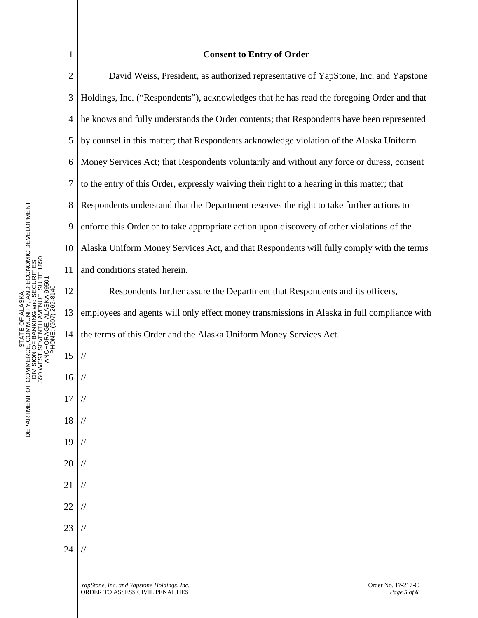2 3 4 5 6 7 STATE OF ALASKA<br>CE, COMMUNITY, AND ECONOMIC DEVELOPMENT<br>V OF BANKING and SECURITIES<br>I SEVENTH AVENUE, SUITE 1850<br>CHORAGE, ALASKA 99501<br>PHONE: (907) 269-8140 8 DEPARTMENT OF COMMERCE, COMMUNITY, AND ECONOMIC DEVELOPMENT 9 10 550 WEST SEVENTH AVENUE, SUITE 1850 DIVISION OF BANKING and SECURITIES 11 ANCHORAGE, ALASKA 99501 PHONE: (907) 269-8140 12 STATE OF ALASKA 13 14 DEPARTMENT OF COMMERCE<br>DIVISION<br>S50 WEST S 15 // 16 // 17 // 18 // 19 // 20 // 21 // 22 //

1

- 23 //
- 24 //

## **Consent to Entry of Order**

David Weiss, President, as authorized representative of YapStone, Inc. and Yapstone Holdings, Inc. ("Respondents"), acknowledges that he has read the foregoing Order and that he knows and fully understands the Order contents; that Respondents have been represented by counsel in this matter; that Respondents acknowledge violation of the Alaska Uniform Money Services Act; that Respondents voluntarily and without any force or duress, consent to the entry of this Order, expressly waiving their right to a hearing in this matter; that Respondents understand that the Department reserves the right to take further actions to enforce this Order or to take appropriate action upon discovery of other violations of the Alaska Uniform Money Services Act, and that Respondents will fully comply with the terms and conditions stated herein.

Respondents further assure the Department that Respondents and its officers, employees and agents will only effect money transmissions in Alaska in full compliance with the terms of this Order and the Alaska Uniform Money Services Act.